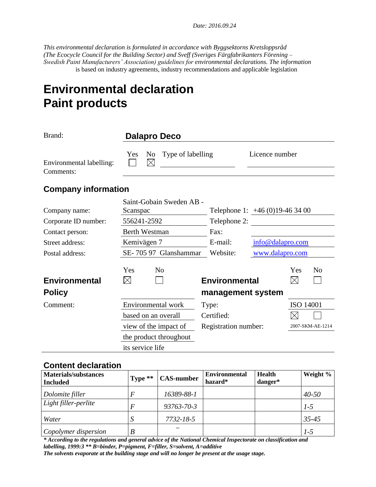*Date: 2016.09.24* 

*This environmental declaration is formulated in accordance with Byggsektorns Kretsloppsråd (The Ecocycle Council for the Building Sector) and Sveff (Sveriges Färgfabrikanters Förening – Swedish Paint Manufacturers' Association) guidelines for environmental declarations. The information* is based on industry agreements, industry recommendations and applicable legislation

# **Environmental declaration Paint products**

| Brand:                                | <b>Dalapro Deco</b>                  |                          |                                           |                                |                    |                  |
|---------------------------------------|--------------------------------------|--------------------------|-------------------------------------------|--------------------------------|--------------------|------------------|
| Environmental labelling:<br>Comments: | Yes<br>N <sub>0</sub><br>$\boxtimes$ | Type of labelling        |                                           | Licence number                 |                    |                  |
| <b>Company information</b>            |                                      |                          |                                           |                                |                    |                  |
| Company name:                         | Scanspac                             | Saint-Gobain Sweden AB - |                                           | Telephone 1: $+46(0)19-463400$ |                    |                  |
| Corporate ID number:                  | 556241-2592                          |                          | Telephone 2:                              |                                |                    |                  |
| Contact person:                       | <b>Berth Westman</b>                 |                          | Fax:                                      |                                |                    |                  |
| Street address:                       | Kemivägen 7                          |                          | E-mail:                                   | info@dalapro.com               |                    |                  |
| Postal address:                       |                                      | SE-705 97 Glanshammar    | Website:                                  | www.dalapro.com                |                    |                  |
| <b>Environmental</b><br><b>Policy</b> | Yes<br>$\boxtimes$                   | N <sub>0</sub>           | <b>Environmental</b><br>management system |                                | Yes<br>$\boxtimes$ | N <sub>o</sub>   |
|                                       |                                      |                          |                                           |                                |                    |                  |
| Comment:                              | Environmental work                   |                          | Type:                                     |                                | <b>ISO 14001</b>   |                  |
|                                       | based on an overall                  |                          | Certified:                                |                                |                    |                  |
|                                       | view of the impact of                |                          | Registration number:                      |                                |                    | 2007-SKM-AE-1214 |
|                                       | the product throughout               |                          |                                           |                                |                    |                  |
|                                       | its service life                     |                          |                                           |                                |                    |                  |

#### **Content declaration**

| <b>Materials/substances</b><br>Included | Type $**$ | <b>CAS-number</b> | <b>Environmental</b><br>hazard* | <b>Health</b><br>danger* | Weight %  |
|-----------------------------------------|-----------|-------------------|---------------------------------|--------------------------|-----------|
| Dolomite filler                         |           | 16389-88-1        |                                 |                          | $40 - 50$ |
| Light filler-perlite                    |           | 93763-70-3        |                                 |                          | $1-5$     |
| Water                                   |           | 7732-18-5         |                                 |                          | $35 - 45$ |
| Copolymer dispersion                    |           |                   |                                 |                          | $1-5$     |

*\* According to the regulations and general advice of the National Chemical Inspectorate on classification and labelling, 1999:3 \*\* B=binder, P=pigment, F=filler, S=solvent, A=additive The solvents evaporate at the building stage and will no longer be present at the usage stage.*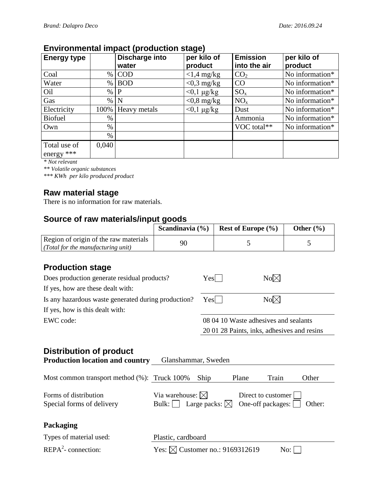### **Environmental impact (production stage)**

| <b>Energy type</b>           |       | <br>Discharge into<br>water | per kilo of<br>product | <b>Emission</b><br>into the air | per kilo of<br>product |
|------------------------------|-------|-----------------------------|------------------------|---------------------------------|------------------------|
| Coal                         | %     | <b>COD</b>                  | $<$ 1,4 mg/kg          | CO <sub>2</sub>                 | No information*        |
| Water                        | $\%$  | <b>BOD</b>                  | $<$ 0,3 mg/kg          | CO                              | No information*        |
| Oil                          | $\%$  | $\mathbf{P}$                | $<$ 0,1 $\mu$ g/kg     | $SO_{x}$                        | No information*        |
| Gas                          | $\%$  | N                           | $<$ 0,8 mg/kg          | $NO_{x}$                        | No information*        |
| Electricity                  |       | 100% Heavy metals           | $<$ 0,1 $\mu$ g/kg     | Dust                            | No information*        |
| <b>Biofuel</b>               | %     |                             |                        | Ammonia                         | No information*        |
| Own                          | %     |                             |                        | VOC total**                     | No information*        |
|                              | $\%$  |                             |                        |                                 |                        |
| Total use of<br>energy $***$ | 0,040 |                             |                        |                                 |                        |

*\* Not relevant*

*\*\* Volatile organic substances*

*\*\*\* KWh per kilo produced product*

#### **Raw material stage**

There is no information for raw materials.

#### **Source of raw materials/input goods**

|                                       | Scandinavia $(\% )$ | <b>Rest of Europe</b> $(\%)$ | Other $(\% )$ |
|---------------------------------------|---------------------|------------------------------|---------------|
| Region of origin of the raw materials | 90                  |                              |               |
| (Total for the manufacturing unit)    |                     |                              |               |

### **Production stage**

| Does production generate residual products?         | $Yes$                                 | $No\n  \boxtimes$                           |
|-----------------------------------------------------|---------------------------------------|---------------------------------------------|
| If yes, how are these dealt with:                   |                                       |                                             |
| Is any hazardous waste generated during production? | $Yes$                                 | $No \boxtimes$                              |
| If yes, how is this dealt with:                     |                                       |                                             |
| EWC code:                                           | 08 04 10 Waste adhesives and sealants |                                             |
|                                                     |                                       | 20 01 28 Paints, inks, adhesives and resins |

## **Distribution of product**

| <b>Production location and country</b>             | Glanshammar, Sweden                                                                                                                          |
|----------------------------------------------------|----------------------------------------------------------------------------------------------------------------------------------------------|
| Most common transport method (%): Truck 100%       | Plane<br>Train<br>Ship<br>Other                                                                                                              |
| Forms of distribution<br>Special forms of delivery | Via warehouse: $\boxtimes$<br>Direct to customer<br>Large packs: $\boxtimes$<br>One-off packages: $\vert$<br>Bulk: $\vert \ \vert$<br>Other: |
| Packaging                                          |                                                                                                                                              |
| Types of material used:                            | Plastic, cardboard                                                                                                                           |
| $REPA2$ - connection:                              | Yes: $\boxtimes$ Customer no.: 9169312619<br>No:                                                                                             |